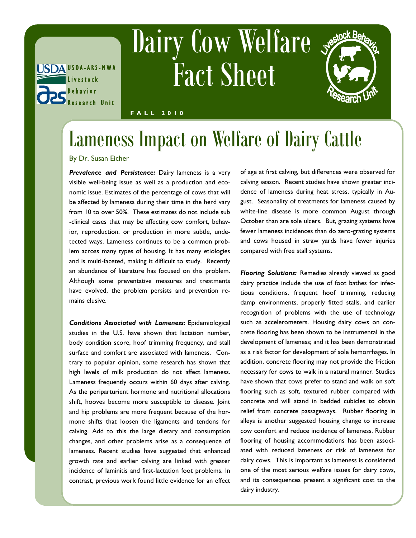

## Dairy Cow Welfare Fact Sheet



**F A L L 2 0 1 0**

## Lameness Impact on Welfare of Dairy Cattle

By Dr. Susan Eicher

*Prevalence and Persistence:* Dairy lameness is a very visible well-being issue as well as a production and economic issue. Estimates of the percentage of cows that will be affected by lameness during their time in the herd vary from 10 to over 50%. These estimates do not include sub -clinical cases that may be affecting cow comfort, behavior, reproduction, or production in more subtle, undetected ways. Lameness continues to be a common problem across many types of housing. It has many etiologies and is multi-faceted, making it difficult to study. Recently an abundance of literature has focused on this problem. Although some preventative measures and treatments have evolved, the problem persists and prevention remains elusive.

*Conditions Associated with Lameness:* Epidemiological studies in the U.S. have shown that lactation number, body condition score, hoof trimming frequency, and stall surface and comfort are associated with lameness. Contrary to popular opinion, some research has shown that high levels of milk production do not affect lameness. Lameness frequently occurs within 60 days after calving. As the periparturient hormone and nutritional allocations shift, hooves become more susceptible to disease. Joint and hip problems are more frequent because of the hormone shifts that loosen the ligaments and tendons for calving. Add to this the large dietary and consumption changes, and other problems arise as a consequence of lameness. Recent studies have suggested that enhanced growth rate and earlier calving are linked with greater incidence of laminitis and first-lactation foot problems. In contrast, previous work found little evidence for an effect

of age at first calving, but differences were observed for calving season. Recent studies have shown greater incidence of lameness during heat stress, typically in August. Seasonality of treatments for lameness caused by white-line disease is more common August through October than are sole ulcers. But, grazing systems have fewer lameness incidences than do zero-grazing systems and cows housed in straw yards have fewer injuries compared with free stall systems.

*Flooring Solutions:* Remedies already viewed as good dairy practice include the use of foot bathes for infectious conditions, frequent hoof trimming, reducing damp environments, properly fitted stalls, and earlier recognition of problems with the use of technology such as accelerometers. Housing dairy cows on concrete flooring has been shown to be instrumental in the development of lameness; and it has been demonstrated as a risk factor for development of sole hemorrhages. In addition, concrete flooring may not provide the friction necessary for cows to walk in a natural manner. Studies have shown that cows prefer to stand and walk on soft flooring such as soft, textured rubber compared with concrete and will stand in bedded cubicles to obtain relief from concrete passageways. Rubber flooring in alleys is another suggested housing change to increase cow comfort and reduce incidence of lameness. Rubber flooring of housing accommodations has been associated with reduced lameness or risk of lameness for dairy cows. This is important as lameness is considered one of the most serious welfare issues for dairy cows, and its consequences present a significant cost to the dairy industry.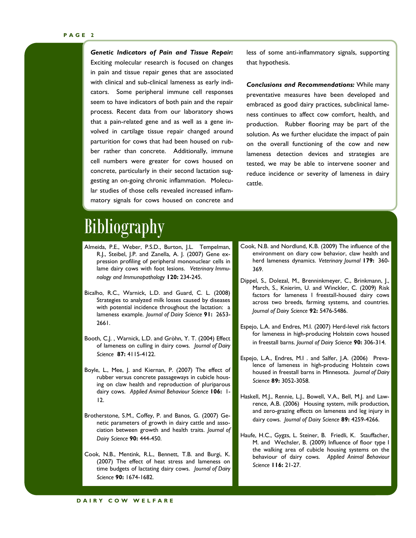*Genetic Indicators of Pain and Tissue Repair:*  Exciting molecular research is focused on changes in pain and tissue repair genes that are associated with clinical and sub-clinical lameness as early indicators. Some peripheral immune cell responses seem to have indicators of both pain and the repair process. Recent data from our laboratory shows that a pain-related gene and as well as a gene involved in cartilage tissue repair changed around parturition for cows that had been housed on rubber rather than concrete. Additionally, immune cell numbers were greater for cows housed on concrete, particularly in their second lactation suggesting an on-going chronic inflammation. Molecular studies of those cells revealed increased inflammatory signals for cows housed on concrete and less of some anti-inflammatory signals, supporting that hypothesis.

*Conclusions and Recommendations:* While many preventative measures have been developed and embraced as good dairy practices, subclinical lameness continues to affect cow comfort, health, and production. Rubber flooring may be part of the solution. As we further elucidate the impact of pain on the overall functioning of the cow and new lameness detection devices and strategies are tested, we may be able to intervene sooner and reduce incidence or severity of lameness in dairy cattle.

## Bibliography

- Almeida, P.E., Weber, P.S.D., Burton, J.L. Tempelman, R.J., Steibel, J.P. and Zanella, A. J. (2007) Gene expression profiling of peripheral mononuclear cells in lame dairy cows with foot lesions. *Veterinary Immunology and Immunopathology* **120:** 234-245.
- Bicalho, R.C., Warnick, L.D. and Guard, C. L. (2008) Strategies to analyzed milk losses caused by diseases with potential incidence throughout the lactation: a lameness example. *Journal of Dairy Science* **91:** 2653- 2661.
- Booth, C.J. , Warnick, L.D. and Gröhn, Y. T. (2004) Effect of lameness on culling in dairy cows. *Journal of Dairy Science* **87:** 4115-4122.
- Boyle, L., Mee, J. and Kiernan, P. (2007) The effect of rubber versus concrete passageways in cubicle housing on claw health and reproduction of pluriparous dairy cows. *Applied Animal Behaviour Science* **106:** 1- 12.
- Brotherstone, S.M., Coffey, P. and Banos, G. (2007) Genetic parameters of growth in dairy cattle and association between growth and health traits. *Journal of Dairy Science* **90:** 444-450.
- Cook, N.B., Mentink, R.L., Bennett, T.B. and Burgi, K. (2007) The effect of heat stress and lameness on time budgets of lactating dairy cows. *Journal of Dairy Science* **90:** 1674-1682.
- Cook, N.B. and Nordlund, K.B. (2009) The influence of the environment on diary cow behavior, claw health and herd lameness dynamics. *Veterinary Journal* **179:** 360- 369.
- Dippel, S., Dolezal, M., Brenninkmeyer, C., Brinkmann, J., March, S., Knierim, U. and Winckler, C. (2009) Risk factors for lameness I freestall-housed dairy cows across two breeds, farming systems, and countries. *Journal of Dairy Science* **92:** 5476-5486.
- Espejo, L.A. and Endres, M.I. (2007) Herd-level risk factors for lameness in high-producing Holstein cows housed in freestall barns. *Journal of Dairy Science* **90:** 306-314.
- Espejo, L.A., Endres, M.I . and Salfer, J.A. (2006) Prevalence of lameness in high-producing Holstein cows housed in freestall barns in Minnesota. *Journal of Dairy Science* **89:** 3052-3058.
- Haskell, M.J., Rennie, L.J., Bowell, V.A., Bell, M.J. and Lawrence, A.B. (2006) Housing system, milk production, and zero-grazing effects on lameness and leg injury in dairy cows. *Journal of Dairy Science* **89:** 4259-4266.
- Haufe, H.C., Gygzs, L. Steiner, B. Friedli, K. Stauffacher, M. and Wechsler, B. (2009) Influence of floor type I the walking area of cubicle housing systems on the behaviour of dairy cows. *Applied Animal Behaviour Science* **116:** 21-27.